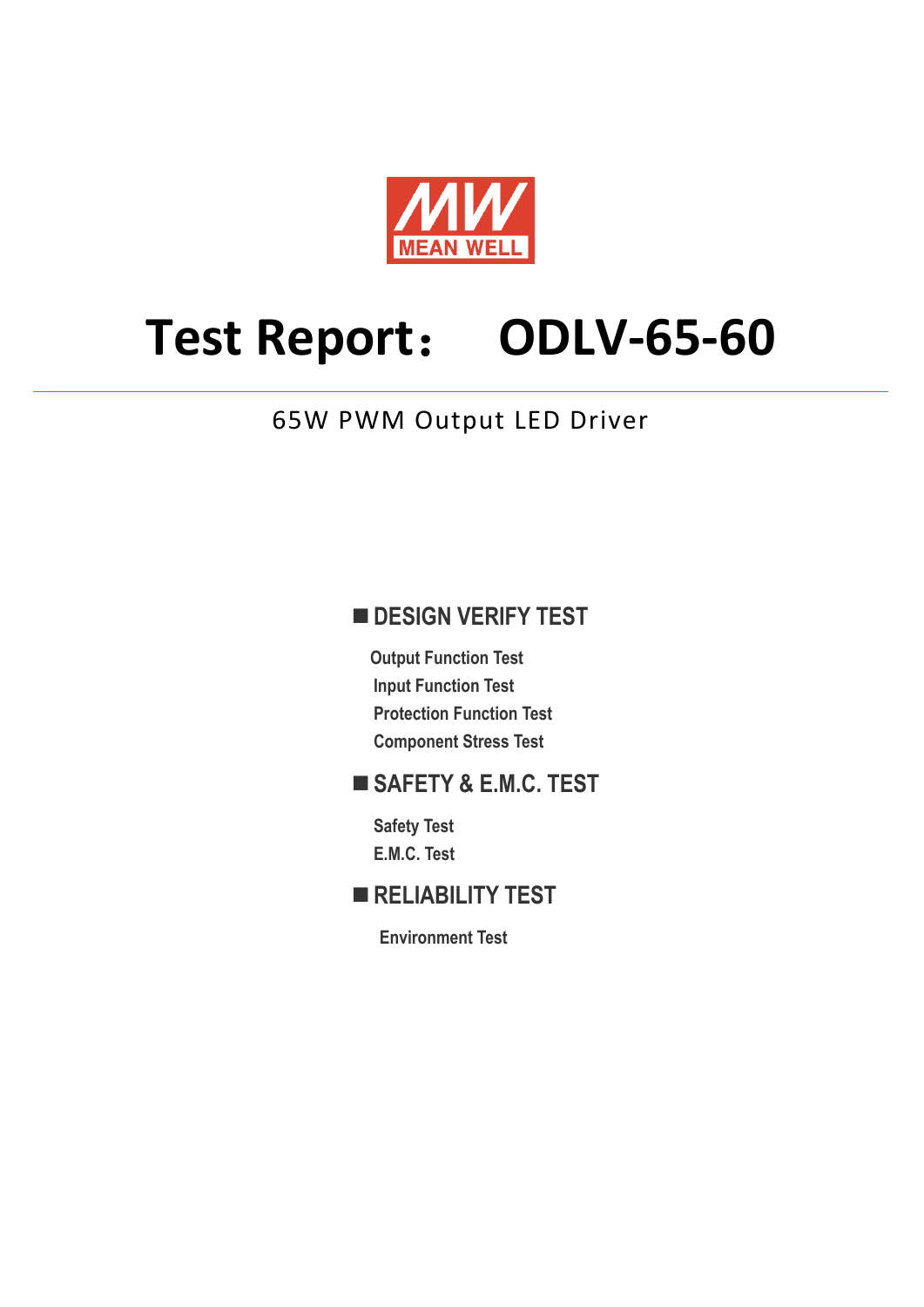

# **Test Report**: **ODLV-65-60**

## 65W PWM Output LED Driver

## **DESIGN VERIFY TEST**

**Output Function Test Input Function Test Protection Function Test Component Stress Test** 

## **SAFETY & E.M.C. TEST**

**Safety Test E.M.C. Test** 

## **RELIABILITY TEST**

**Environment Test**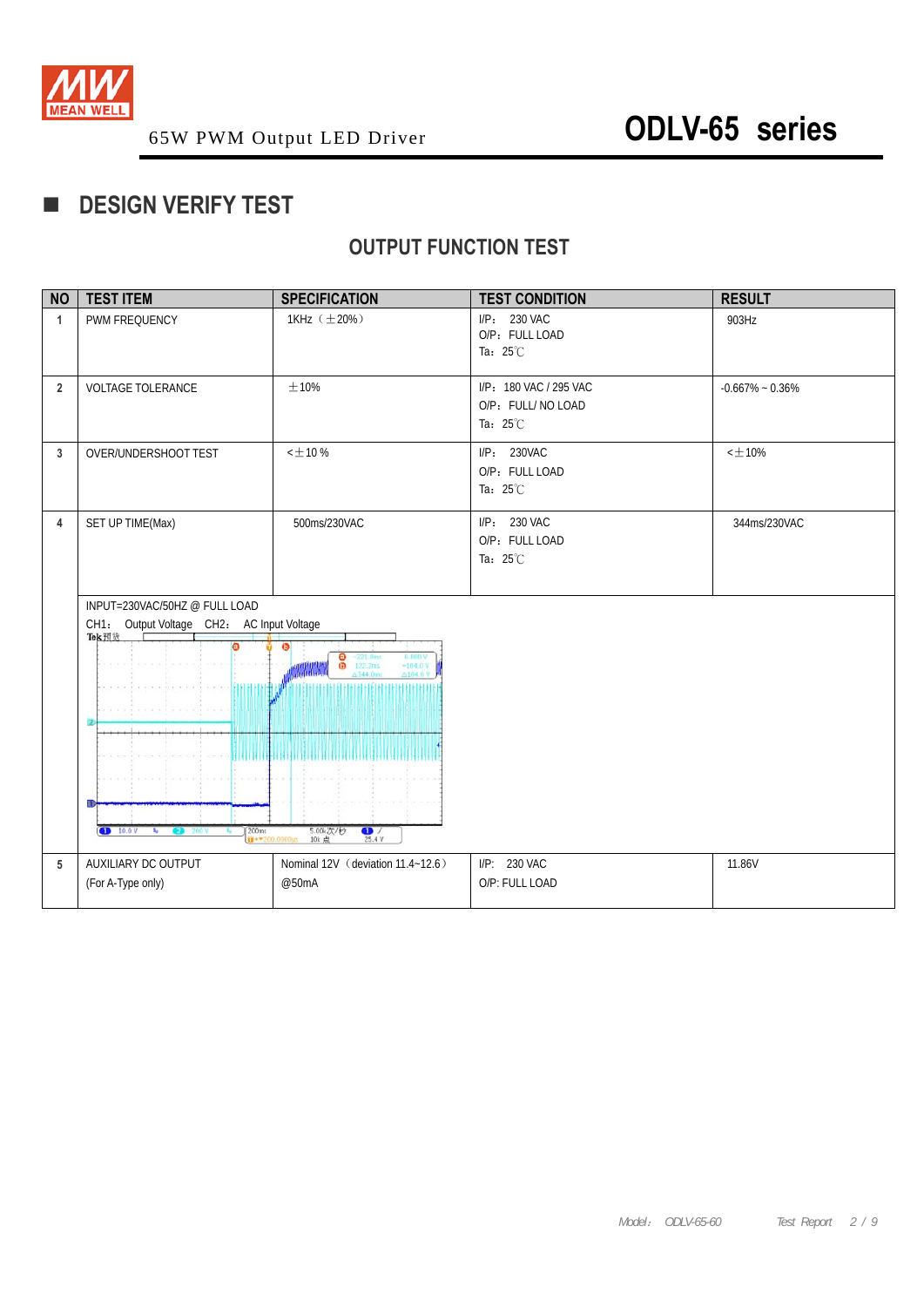

## **DESIGN VERIFY TEST**

## **OUTPUT FUNCTION TEST**

| <b>NO</b>      | <b>TEST ITEM</b>                                                                                                                                               | <b>SPECIFICATION</b>                                                                                                                                           | <b>TEST CONDITION</b>                                              | <b>RESULT</b>       |
|----------------|----------------------------------------------------------------------------------------------------------------------------------------------------------------|----------------------------------------------------------------------------------------------------------------------------------------------------------------|--------------------------------------------------------------------|---------------------|
| $\mathbf{1}$   | PWM FREQUENCY                                                                                                                                                  | 1KHz (±20%)                                                                                                                                                    | I/P: 230 VAC<br>O/P: FULL LOAD<br>Ta: $25^{\circ}$ C               | 903Hz               |
| $\overline{2}$ | <b>VOLTAGE TOLERANCE</b>                                                                                                                                       | $\pm 10\%$                                                                                                                                                     | I/P: 180 VAC / 295 VAC<br>O/P: FULL/ NO LOAD<br>Ta: $25^{\circ}$ C | $-0.667\% - 0.36\%$ |
| 3              | OVER/UNDERSHOOT TEST                                                                                                                                           | $<\pm$ 10 $\%$                                                                                                                                                 | I/P: 230VAC<br>O/P: FULL LOAD<br>Ta: $25^{\circ}$ C                | $<\pm10\%$          |
| 4              | SET UP TIME(Max)                                                                                                                                               | 500ms/230VAC                                                                                                                                                   | I/P: 230 VAC<br>O/P: FULL LOAD<br>Ta: $25^{\circ}$ C               | 344ms/230VAC        |
|                | INPUT=230VAC/50HZ @ FULL LOAD<br>CH1: Output Voltage CH2: AC Input Voltage<br>Tek预选<br>ര<br>2<br>$\boxed{\bullet}$ 10.0 V<br>$\sqrt{200}$ ms<br>$\mathbf{r}_0$ | 6<br>Θ<br>$-221.0$ ms<br>0.000 V<br>$\bar{a}$<br>122.2ms<br>$-104.0y$<br>△344.0ms<br>A104.0<br>5.00k次/秒<br>10k 点<br>$\frac{1}{25.4V}$<br>$14 - 200.0000 \mu s$ |                                                                    |                     |
| 5              | AUXILIARY DC OUTPUT<br>(For A-Type only)                                                                                                                       | Nominal 12V (deviation 11.4~12.6)<br>@50mA                                                                                                                     | I/P: 230 VAC<br>O/P: FULL LOAD                                     | 11.86V              |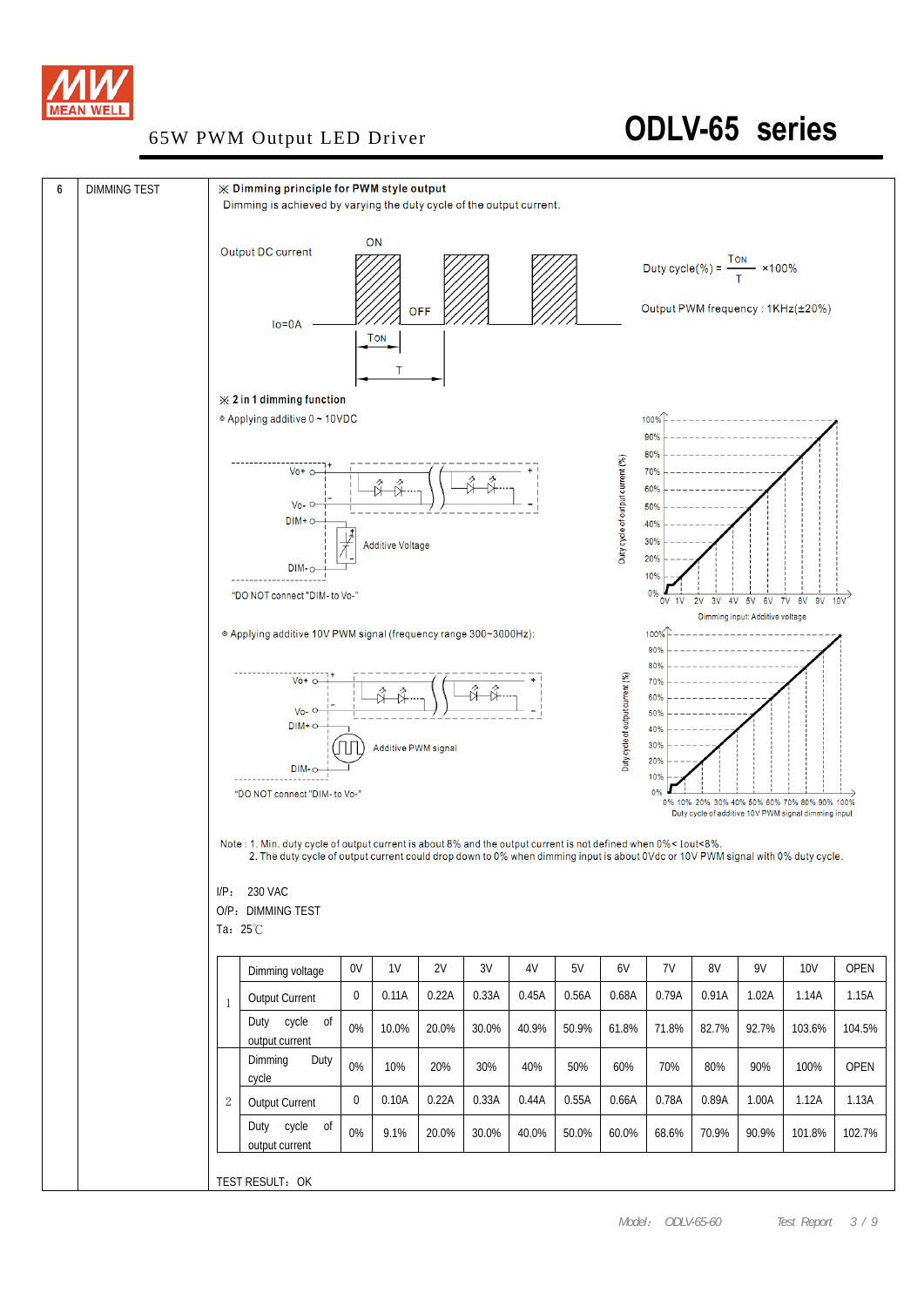

## 65W PWM Output LED Driver **ODLV-65 series**

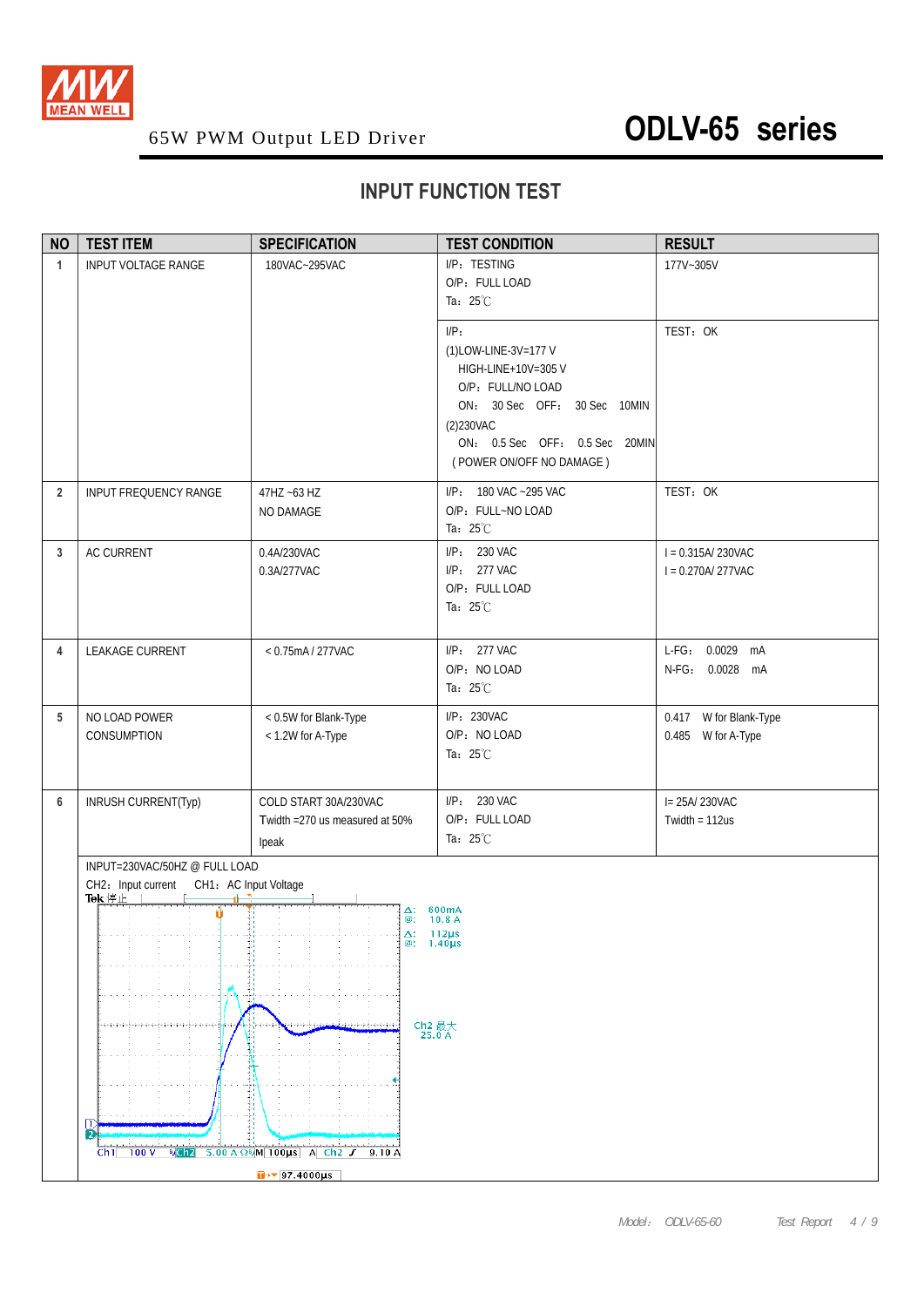

## **INPUT FUNCTION TEST**

| <b>NO</b>      | <b>TEST ITEM</b>                                                                                                                                  | <b>SPECIFICATION</b>                                                                                                                     | <b>TEST CONDITION</b>                                                                                                                                                                  | <b>RESULT</b>                                |
|----------------|---------------------------------------------------------------------------------------------------------------------------------------------------|------------------------------------------------------------------------------------------------------------------------------------------|----------------------------------------------------------------------------------------------------------------------------------------------------------------------------------------|----------------------------------------------|
| $\mathbf{1}$   | <b>INPUT VOLTAGE RANGE</b>                                                                                                                        | 180VAC~295VAC                                                                                                                            | I/P: TESTING<br>O/P: FULL LOAD<br>Ta: $25^{\circ}$ C                                                                                                                                   | 177V~305V                                    |
|                |                                                                                                                                                   |                                                                                                                                          | $I/P$ :<br>(1)LOW-LINE-3V=177 V<br>HIGH-LINE+10V=305 V<br>O/P: FULL/NO LOAD<br>ON: 30 Sec OFF: 30 Sec 10MIN<br>(2)230VAC<br>ON: 0.5 Sec OFF: 0.5 Sec 20MIN<br>(POWER ON/OFF NO DAMAGE) | TEST: OK                                     |
| $\overline{2}$ | <b>INPUT FREQUENCY RANGE</b>                                                                                                                      | 47HZ ~63 HZ<br>NO DAMAGE                                                                                                                 | I/P: 180 VAC ~295 VAC<br>O/P: FULL~NO LOAD<br>Ta: $25^{\circ}$ C                                                                                                                       | TEST: OK                                     |
| 3              | <b>AC CURRENT</b>                                                                                                                                 | 0.4A/230VAC<br>0.3A/277VAC                                                                                                               | I/P: 230 VAC<br>I/P: 277 VAC<br>O/P: FULL LOAD<br>Ta: $25^{\circ}$ C                                                                                                                   | $I = 0.315A/230VAC$<br>$I = 0.270A/277VAC$   |
| 4              | LEAKAGE CURRENT                                                                                                                                   | < 0.75mA / 277VAC                                                                                                                        | $I/P: 277$ VAC<br>O/P: NO LOAD<br>Ta: 25°C                                                                                                                                             | L-FG: 0.0029 mA<br>N-FG: 0.0028 mA           |
| 5              | NO LOAD POWER<br>CONSUMPTION                                                                                                                      | < 0.5W for Blank-Type<br>< 1.2W for A-Type                                                                                               | I/P: 230VAC<br>O/P: NO LOAD<br>Ta: $25^{\circ}$ C                                                                                                                                      | 0.417 W for Blank-Type<br>0.485 W for A-Type |
| $6\phantom{1}$ | INRUSH CURRENT(Typ)                                                                                                                               | COLD START 30A/230VAC<br>Twidth = 270 us measured at 50%<br>Ipeak                                                                        | I/P: 230 VAC<br>O/P: FULL LOAD<br>Ta: 25°C                                                                                                                                             | I= 25A/ 230VAC<br>Twidth = $112us$           |
|                | INPUT=230VAC/50HZ @ FULL LOAD<br>CH2: Input current<br>Tek停止    <br>CH1: AC Input Voltage<br>¢<br>11<br>R<br>Ch1<br>$R_0$ Ch <sub>2</sub><br>100V | $\Delta$ : 600mA<br>$\circledcirc$<br>Δ:<br>$@: 1.40 \mu s$<br>Ch2 最大<br>25.0 A<br>$5.00 A \Omega$ <sup>6</sup> M 100us A Ch2 $J$ 9.10 A | 10.8A<br>$-112\mu s$                                                                                                                                                                   |                                              |
|                |                                                                                                                                                   | $\sqrt{97.4000 \mu s}$                                                                                                                   |                                                                                                                                                                                        |                                              |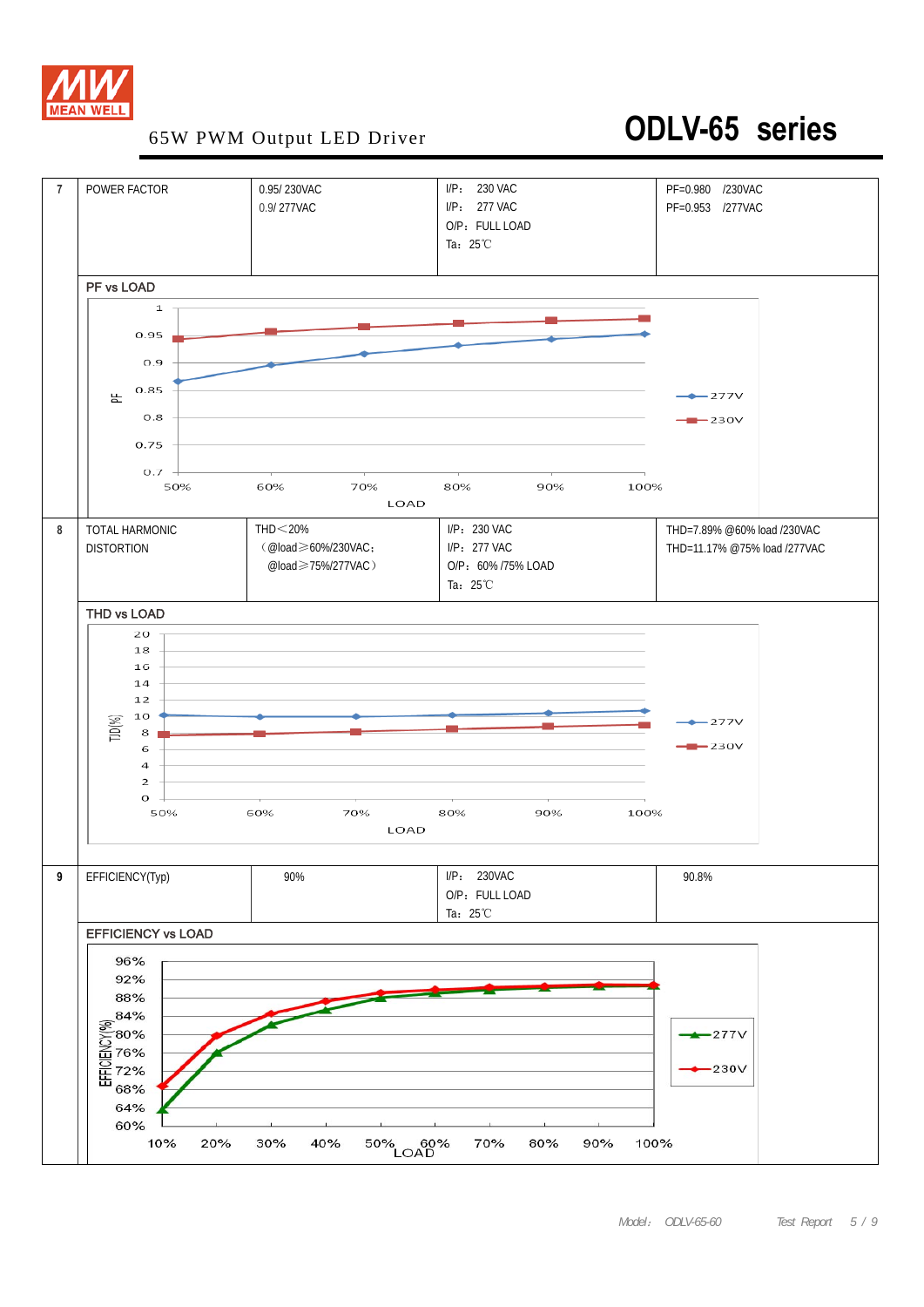

## 65W PWM Output LED Driver **ODLV-65 series**

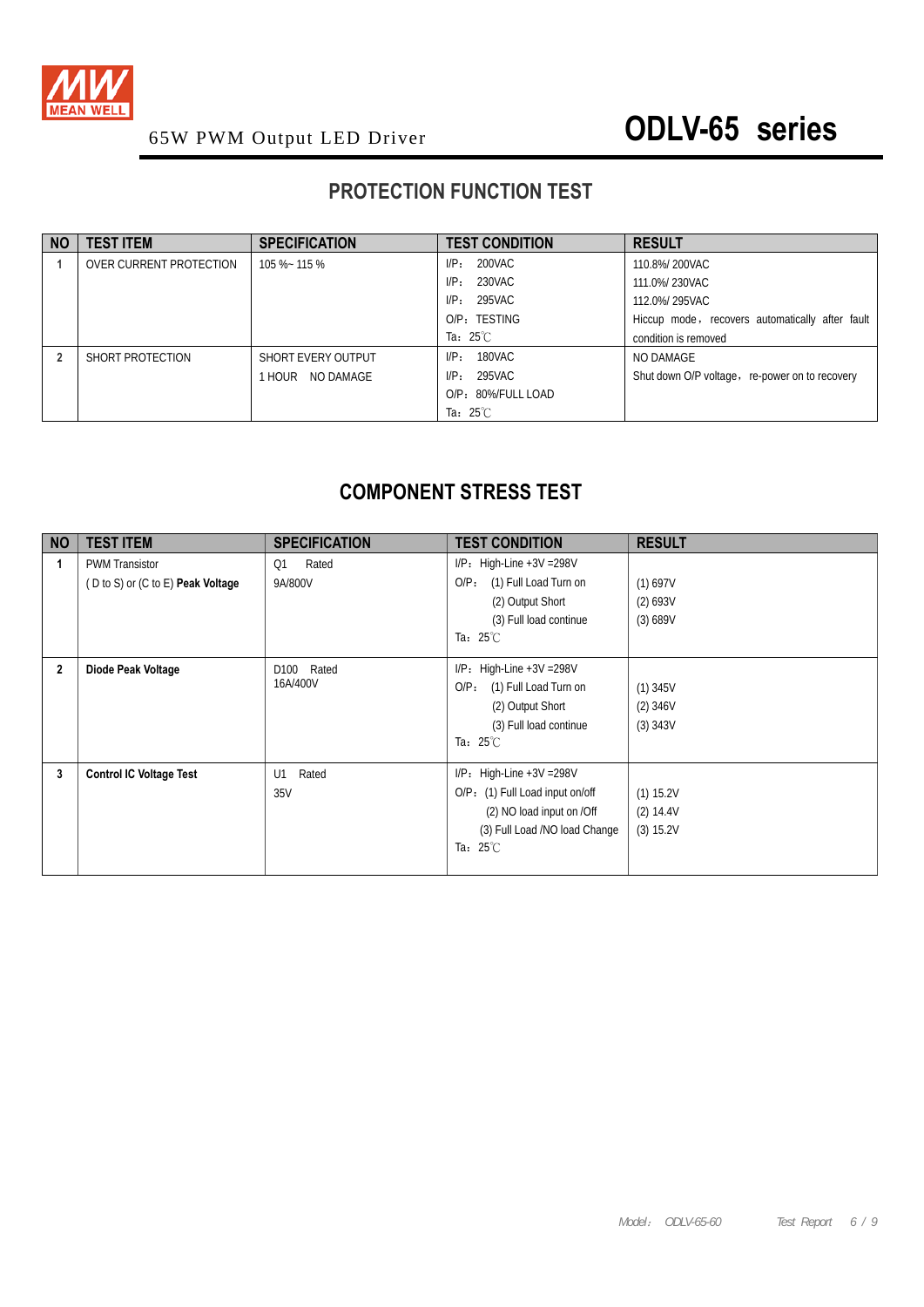

## **PROTECTION FUNCTION TEST**

| <b>NO</b> | <b>TEST ITEM</b>        | <b>SPECIFICATION</b> | <b>TEST CONDITION</b> | <b>RESULT</b>                                   |
|-----------|-------------------------|----------------------|-----------------------|-------------------------------------------------|
|           | OVER CURRENT PROTECTION | 105 %~ 115 %         | 200VAC<br>$I/P$ :     | 110.8%/200VAC                                   |
|           |                         |                      | 230VAC<br>$I/P$ :     | 111.0%/230VAC                                   |
|           |                         |                      | 295VAC<br>$I/P$ :     | 112.0%/295VAC                                   |
|           |                         |                      | O/P: TESTING          | Hiccup mode, recovers automatically after fault |
|           |                         |                      | Ta: $25^{\circ}$ C    | condition is removed                            |
|           | SHORT PROTECTION        | SHORT EVERY OUTPUT   | 180VAC<br>$I/P$ :     | NO DAMAGE                                       |
|           |                         | 1 HOUR NO DAMAGE     | 295VAC<br>$I/P$ :     | Shut down O/P voltage, re-power on to recovery  |
|           |                         |                      | O/P: 80%/FULL LOAD    |                                                 |
|           |                         |                      | Ta: $25^{\circ}$ C    |                                                 |

## **COMPONENT STRESS TEST**

| <b>NO</b>      | <b>TEST ITEM</b>                                           | <b>SPECIFICATION</b>      | <b>TEST CONDITION</b>                                                                                                                               | <b>RESULT</b>                           |
|----------------|------------------------------------------------------------|---------------------------|-----------------------------------------------------------------------------------------------------------------------------------------------------|-----------------------------------------|
|                | <b>PWM Transistor</b><br>(D to S) or (C to E) Peak Voltage | Rated<br>Q1<br>9A/800V    | $I/P$ : High-Line +3V = 298V<br>(1) Full Load Turn on<br>$O/P$ :<br>(2) Output Short<br>(3) Full load continue<br>Ta: $25^{\circ}$ C                | (1) 697V<br>(2) 693V<br>(3) 689V        |
| $\overline{2}$ | Diode Peak Voltage                                         | Rated<br>D100<br>16A/400V | $I/P$ : High-Line +3V = 298V<br>(1) Full Load Turn on<br>$O/P$ :<br>(2) Output Short<br>(3) Full load continue<br>Ta: $25^{\circ}$ C                | $(1)$ 345V<br>$(2)$ 346V<br>$(3)$ 343V  |
| 3              | <b>Control IC Voltage Test</b>                             | U1<br>Rated<br>35V        | $I/P$ : High-Line +3V = 298V<br>O/P: (1) Full Load input on/off<br>(2) NO load input on /Off<br>(3) Full Load /NO load Change<br>Ta: $25^{\circ}$ C | $(1)$ 15.2V<br>$(2)$ 14.4V<br>(3) 15.2V |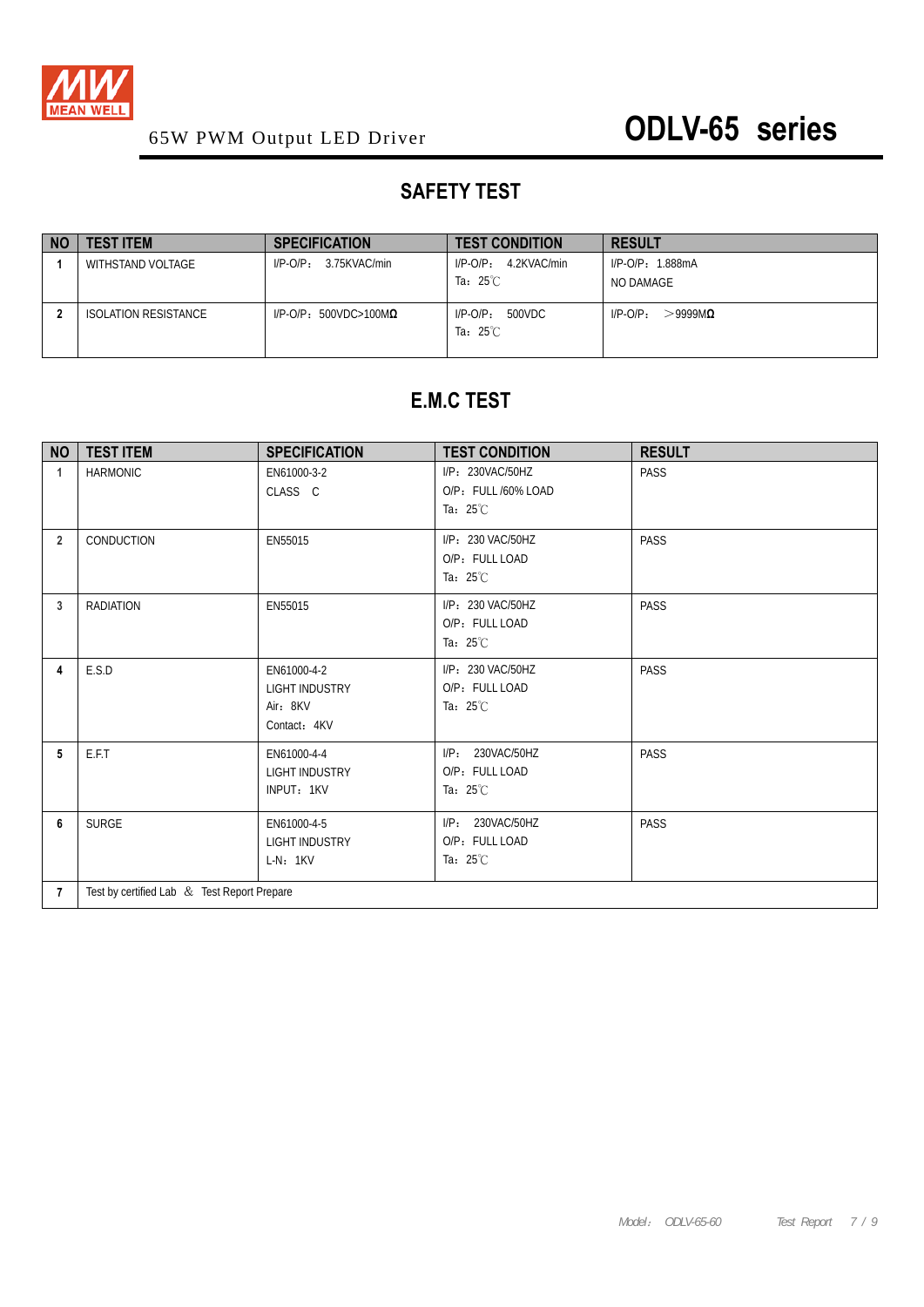

## **SAFETY TEST**

| <b>NO</b> | <b>TEST ITEM</b>     | <b>SPECIFICATION</b>             | <b>TEST CONDITION</b>                           | <b>RESULT</b>                         |
|-----------|----------------------|----------------------------------|-------------------------------------------------|---------------------------------------|
|           | WITHSTAND VOLTAGE    | 3.75KVAC/min<br>$I/P-O/P$ :      | 4.2KVAC/min<br>$I/P$ - $O/P_1$                  | $I/P$ -O/P: 1.888mA                   |
|           |                      |                                  | Ta: $25^{\circ}$ C                              | NO DAMAGE                             |
|           | ISOLATION RESISTANCE | $I/P-O/P$ : 500VDC>100M $\Omega$ | 500VDC<br>$I/P$ - $O/P$ :<br>Ta: $25^{\circ}$ C | $I/P$ - $O/P_1$<br>$>$ 9999M $\Omega$ |

### **E.M.C TEST**

| <b>NO</b>      | <b>TEST ITEM</b>                            | <b>SPECIFICATION</b>                                             | <b>TEST CONDITION</b>                                         | <b>RESULT</b> |
|----------------|---------------------------------------------|------------------------------------------------------------------|---------------------------------------------------------------|---------------|
| 1              | <b>HARMONIC</b>                             | EN61000-3-2<br>CLASS C                                           | I/P: 230VAC/50HZ<br>O/P: FULL /60% LOAD<br>Ta: $25^{\circ}$ C | <b>PASS</b>   |
| $\overline{2}$ | CONDUCTION                                  | EN55015                                                          | I/P: 230 VAC/50HZ<br>O/P: FULL LOAD<br>Ta: $25^{\circ}$ C     | PASS          |
| 3              | <b>RADIATION</b>                            | EN55015                                                          | I/P: 230 VAC/50HZ<br>O/P: FULL LOAD<br>Ta: $25^{\circ}$ C     | PASS          |
| 4              | E.S.D                                       | EN61000-4-2<br><b>LIGHT INDUSTRY</b><br>Air: 8KV<br>Contact: 4KV | I/P: 230 VAC/50HZ<br>O/P: FULL LOAD<br>Ta: $25^{\circ}$ C     | PASS          |
| 5              | E.F.T                                       | EN61000-4-4<br><b>LIGHT INDUSTRY</b><br>INPUT: 1KV               | I/P: 230VAC/50HZ<br>O/P: FULL LOAD<br>Ta: $25^{\circ}$ C      | PASS          |
| 6              | <b>SURGE</b>                                | EN61000-4-5<br><b>LIGHT INDUSTRY</b><br>$L-N: 1KV$               | I/P: 230VAC/50HZ<br>O/P: FULL LOAD<br>Ta: $25^{\circ}$ C      | PASS          |
| $\overline{7}$ | Test by certified Lab & Test Report Prepare |                                                                  |                                                               |               |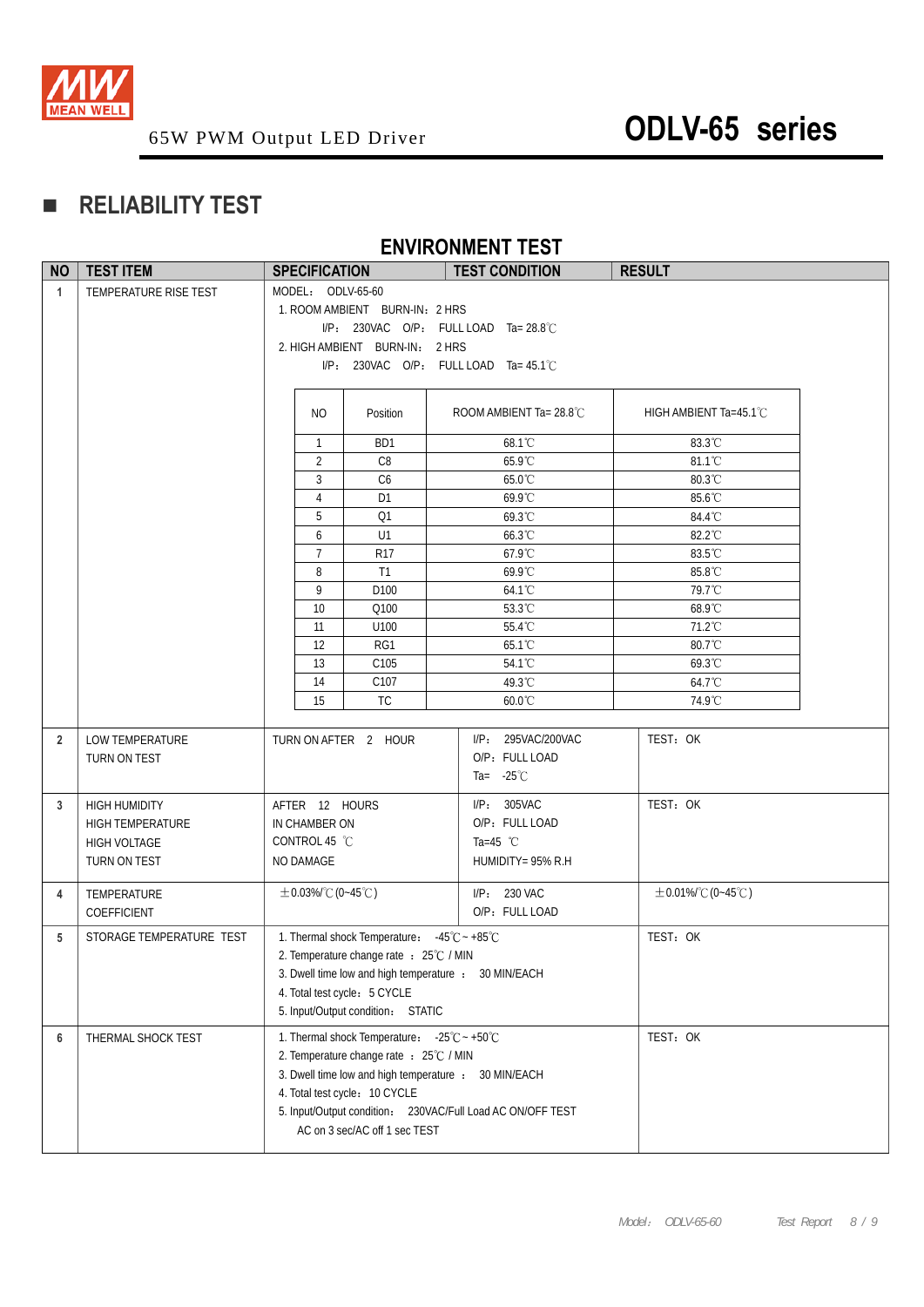

## **RELIABILITY TEST**

### **ENVIRONMENT TEST**

| <b>NO</b>      | <b>TEST ITEM</b>                                                                | <b>SPECIFICATION</b>                                                                                                                                                                                                                                                                                            | <b>TEST CONDITION</b>                                                             | <b>RESULT</b>           |
|----------------|---------------------------------------------------------------------------------|-----------------------------------------------------------------------------------------------------------------------------------------------------------------------------------------------------------------------------------------------------------------------------------------------------------------|-----------------------------------------------------------------------------------|-------------------------|
| $\mathbf{1}$   | TEMPERATURE RISE TEST                                                           | MODEL: ODLV-65-60<br>1. ROOM AMBIENT BURN-IN: 2 HRS<br>2. HIGH AMBIENT BURN-IN: 2 HRS                                                                                                                                                                                                                           | $I/P$ : 230VAC O/P: FULL LOAD Ta= 28.8°C<br>I/P: 230VAC O/P: FULL LOAD Ta= 45.1°C |                         |
|                |                                                                                 | NO.<br>Position                                                                                                                                                                                                                                                                                                 | ROOM AMBIENT Ta= $28.8^{\circ}$ C                                                 | HIGH AMBIENT Ta=45.1°C  |
|                |                                                                                 | BD1<br>$\overline{1}$                                                                                                                                                                                                                                                                                           | 68.1°C                                                                            | 83.3°C                  |
|                |                                                                                 | $\overline{2}$<br>C8                                                                                                                                                                                                                                                                                            | 65.9°C                                                                            | 81.1°C                  |
|                |                                                                                 | $\mathbf{3}$<br>C <sub>6</sub>                                                                                                                                                                                                                                                                                  | 65.0°C                                                                            | $80.3^{\circ}$ C        |
|                |                                                                                 | $\overline{4}$<br>D1                                                                                                                                                                                                                                                                                            | 69.9°C                                                                            | 85.6°C                  |
|                |                                                                                 | 5<br>Q1                                                                                                                                                                                                                                                                                                         | 69.3°C                                                                            | 84.4°C                  |
|                |                                                                                 | 6<br>U1                                                                                                                                                                                                                                                                                                         | 66.3°C                                                                            | 82.2°C                  |
|                |                                                                                 | $\overline{7}$<br>R <sub>17</sub>                                                                                                                                                                                                                                                                               | 67.9°C                                                                            | 83.5°C                  |
|                |                                                                                 | 8<br>T1                                                                                                                                                                                                                                                                                                         | 69.9°C                                                                            | 85.8°C                  |
|                |                                                                                 | 9<br>D100                                                                                                                                                                                                                                                                                                       | 64.1°C                                                                            | 79.7°C                  |
|                |                                                                                 | 10<br>Q100                                                                                                                                                                                                                                                                                                      | 53.3°C                                                                            | 68.9°C                  |
|                |                                                                                 | 11<br>U100                                                                                                                                                                                                                                                                                                      | 55.4°C                                                                            | 71.2°C                  |
|                |                                                                                 | 12<br>RG1                                                                                                                                                                                                                                                                                                       | 65.1°C                                                                            | 80.7°C                  |
|                |                                                                                 | 13<br>C105                                                                                                                                                                                                                                                                                                      | 54.1°C                                                                            | 69.3°C                  |
|                |                                                                                 | C107<br>14<br>15<br><b>TC</b>                                                                                                                                                                                                                                                                                   | 49.3°C<br>60.0°C                                                                  | 64.7°C<br>74.9°C        |
|                |                                                                                 |                                                                                                                                                                                                                                                                                                                 |                                                                                   |                         |
| $\overline{2}$ | <b>LOW TEMPERATURE</b><br>TURN ON TEST                                          | TURN ON AFTER 2 HOUR                                                                                                                                                                                                                                                                                            | I/P: 295VAC/200VAC<br>O/P: FULL LOAD<br>Ta= $-25^{\circ}$ C                       | TEST: OK                |
| 3              | <b>HIGH HUMIDITY</b><br><b>HIGH TEMPERATURE</b><br>HIGH VOLTAGE<br>TURN ON TEST | AFTER 12 HOURS<br>IN CHAMBER ON<br>CONTROL 45 °C<br>NO DAMAGE                                                                                                                                                                                                                                                   | I/P: 305VAC<br>O/P: FULL LOAD<br>Ta=45 $°C$<br>HUMIDITY= 95% R.H                  | TEST: OK                |
| 4              | TEMPERATURE<br>COEFFICIENT                                                      | $\pm$ 0.03%/°C (0~45°C)                                                                                                                                                                                                                                                                                         | I/P: 230 VAC<br>O/P: FULL LOAD                                                    | $\pm$ 0.01%/°C (0~45°C) |
| 5              | STORAGE TEMPERATURE TEST                                                        | 1. Thermal shock Temperature: $-45^{\circ}\text{C} \sim +85^{\circ}\text{C}$<br>2. Temperature change rate : 25℃ / MIN<br>3. Dwell time low and high temperature : 30 MIN/EACH<br>4. Total test cycle: 5 CYCLE<br>5. Input/Output condition: STATIC                                                             |                                                                                   | TEST: OK                |
| 6              | THERMAL SHOCK TEST                                                              | 1. Thermal shock Temperature: $-25^{\circ}\text{C} \sim +50^{\circ}\text{C}$<br>2. Temperature change rate : 25°C / MIN<br>3. Dwell time low and high temperature : 30 MIN/EACH<br>4. Total test cycle: 10 CYCLE<br>5. Input/Output condition: 230VAC/Full Load AC ON/OFF TEST<br>AC on 3 sec/AC off 1 sec TEST |                                                                                   | TEST: OK                |